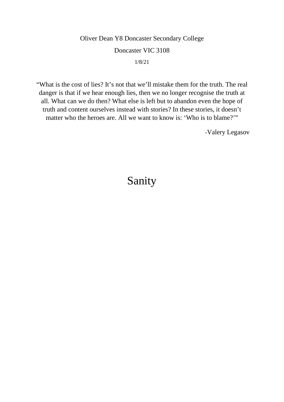Oliver Dean Y8 Doncaster Secondary College

#### Doncaster VIC 3108

1/8/21

"What is the cost of lies? It's not that we'll mistake them for the truth. The real danger is that if we hear enough lies, then we no longer recognise the truth at all. What can we do then? What else is left but to abandon even the hope of truth and content ourselves instead with stories? In these stories, it doesn't matter who the heroes are. All we want to know is: 'Who is to blame?'"

-Valery Legasov

# Sanity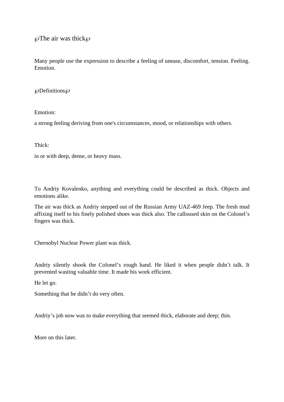$\wp$ The air was thick $\wp$ 

Many people use the expression to describe a feeling of unease, discomfort, tension. Feeling. Emotion.

#### $\wp$ Definitions $\wp$

Emotion:

a strong feeling deriving from one's circumstances, mood, or relationships with others.

Thick:

in or with deep, dense, or heavy mass.

To Andriy Kovalenko, anything and everything could be described as thick. Objects and emotions alike.

The air was thick as Andriy stepped out of the Russian Army UAZ-469 Jeep. The fresh mud affixing itself to his finely polished shoes was thick also. The calloused skin on the Colonel's fingers was thick.

Chernobyl Nuclear Power plant was thick.

Andriy silently shook the Colonel's rough hand. He liked it when people didn't talk. It prevented wasting valuable time. It made his work efficient.

He let go.

Something that he didn't do very often.

Andriy's job now was to make everything that seemed thick, elaborate and deep; thin.

More on this later.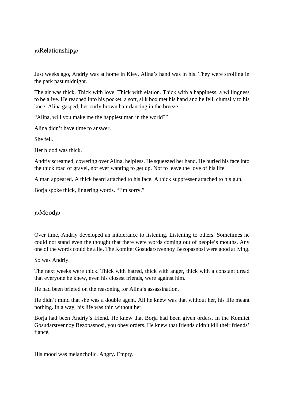## ℘Relationship℘

Just weeks ago, Andriy was at home in Kiev. Alina's hand was in his. They were strolling in the park past midnight.

The air was thick. Thick with love. Thick with elation. Thick with a happiness, a willingness to be alive. He reached into his pocket, a soft, silk box met his hand and he fell, clumsily to his knee. Alina gasped, her curly brown hair dancing in the breeze.

"Alina, will you make me the happiest man in the world?"

Alina didn't have time to answer.

She fell.

Her blood was thick.

Andriy screamed, cowering over Alina, helpless. He squeezed her hand. He buried his face into the thick road of gravel, not ever wanting to get up. Not to leave the love of his life.

A man appeared. A thick beard attached to his face. A thick suppresser attached to his gun.

Borja spoke thick, lingering words. "I'm sorry."

#### ℘Mood℘

Over time, Andriy developed an intolerance to listening. Listening to others. Sometimes he could not stand even the thought that there were words coming out of people's mouths. Any one of the words could be a lie. The Komitet Gosudarstvennoy Bezopasnosi were good at lying.

So was Andriy.

The next weeks were thick. Thick with hatred, thick with anger, thick with a constant dread that everyone he knew, even his closest friends, were against him.

He had been briefed on the reasoning for Alina's assassination.

He didn't mind that she was a double agent. All he knew was that without her, his life meant nothing. In a way, his life was thin without her.

Borja had been Andriy's friend. He knew that Borja had been given orders. In the Komitet Gosudarstvennoy Bezopasnosi, you obey orders. He knew that friends didn't kill their friends' fiancé.

His mood was melancholic. Angry. Empty.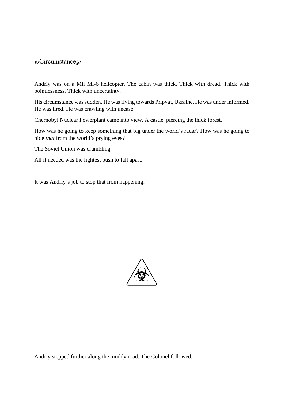### ℘Circumstance℘

Andriy was on a Mil Mi-6 helicopter. The cabin was thick. Thick with dread. Thick with pointlessness. Thick with uncertainty.

His circumstance was sudden. He was flying towards Pripyat, Ukraine. He was under informed. He was tired. He was crawling with unease.

Chernobyl Nuclear Powerplant came into view. A castle, piercing the thick forest.

How was he going to keep something that big under the world's radar? How was he going to hide *that* from the world's prying eyes?

The Soviet Union was crumbling.

All it needed was the lightest push to fall apart.

It was Andriy's job to stop that from happening.



Andriy stepped further along the muddy road. The Colonel followed.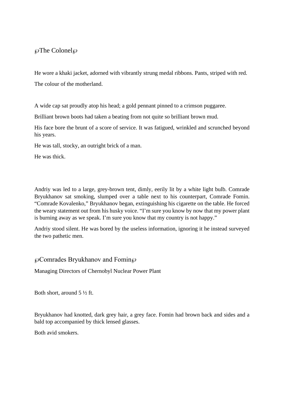## ℘The Colonel℘

He wore a khaki jacket, adorned with vibrantly strung medal ribbons. Pants, striped with red. The colour of the motherland.

A wide cap sat proudly atop his head; a gold pennant pinned to a crimson puggaree.

Brilliant brown boots had taken a beating from not quite so brilliant brown mud.

His face bore the brunt of a score of service. It was fatigued, wrinkled and scrunched beyond his years.

He was tall, stocky, an outright brick of a man.

He was thick.

Andriy was led to a large, grey-brown tent, dimly, eerily lit by a white light bulb. Comrade Bryukhanov sat smoking, slumped over a table next to his counterpart, Comrade Fomin. "Comrade Kovalenko," Bryukhanov began, extinguishing his cigarette on the table. He forced the weary statement out from his husky voice. "I'm sure you know by now that my power plant is burning away as we speak. I'm sure you know that my country is not happy."

Andriy stood silent. He was bored by the useless information, ignoring it he instead surveyed the two pathetic men.

 $\wp$ Comrades Bryukhanov and Fomin $\wp$ 

Managing Directors of Chernobyl Nuclear Power Plant

Both short, around 5 ½ ft.

Bryukhanov had knotted, dark grey hair, a grey face. Fomin had brown back and sides and a bald top accompanied by thick lensed glasses.

Both avid smokers.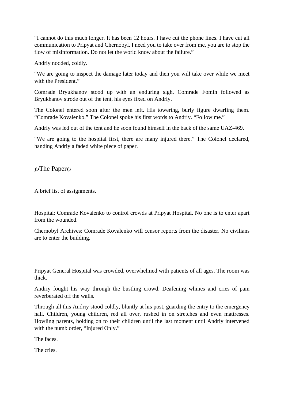"I cannot do this much longer. It has been 12 hours. I have cut the phone lines. I have cut all communication to Pripyat and Chernobyl. I need you to take over from me, you are to stop the flow of misinformation. Do not let the world know about the failure."

Andriy nodded, coldly.

"We are going to inspect the damage later today and then you will take over while we meet with the President."

Comrade Bryukhanov stood up with an enduring sigh. Comrade Fomin followed as Bryukhanov strode out of the tent, his eyes fixed on Andriy.

The Colonel entered soon after the men left. His towering, burly figure dwarfing them. "Comrade Kovalenko." The Colonel spoke his first words to Andriy. "Follow me."

Andriy was led out of the tent and he soon found himself in the back of the same UAZ-469.

"We are going to the hospital first, there are many injured there." The Colonel declared, handing Andriy a faded white piece of paper.

 $\wp$ The Paper $\wp$ 

A brief list of assignments.

Hospital: Comrade Kovalenko to control crowds at Pripyat Hospital. No one is to enter apart from the wounded.

Chernobyl Archives: Comrade Kovalenko will censor reports from the disaster. No civilians are to enter the building.

Pripyat General Hospital was crowded, overwhelmed with patients of all ages. The room was thick.

Andriy fought his way through the bustling crowd. Deafening whines and cries of pain reverberated off the walls.

Through all this Andriy stood coldly, bluntly at his post, guarding the entry to the emergency hall. Children, young children, red all over, rushed in on stretches and even mattresses. Howling parents, holding on to their children until the last moment until Andriy intervened with the numb order, "Injured Only."

The faces.

The cries.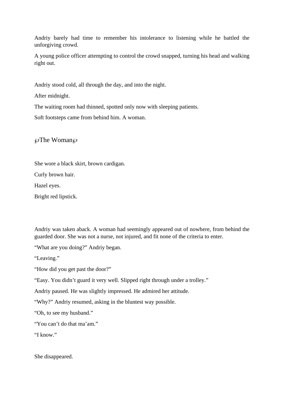Andriy barely had time to remember his intolerance to listening while he battled the unforgiving crowd.

A young police officer attempting to control the crowd snapped, turning his head and walking right out.

Andriy stood cold, all through the day, and into the night.

After midnight.

The waiting room had thinned, spotted only now with sleeping patients.

Soft footsteps came from behind him. A woman.

 $\wp$ The Woman $\wp$ 

She wore a black skirt, brown cardigan.

Curly brown hair.

Hazel eyes.

Bright red lipstick.

Andriy was taken aback. A woman had seemingly appeared out of nowhere, from behind the guarded door. She was not a nurse, not injured, and fit none of the criteria to enter.

"What are you doing?" Andriy began.

"Leaving."

"How did you get past the door?"

"Easy. You didn't guard it very well. Slipped right through under a trolley."

Andriy paused. He was slightly impressed. He admired her attitude.

"Why?" Andriy resumed, asking in the bluntest way possible.

"Oh, to see my husband."

"You can't do that ma'am."

"I know."

She disappeared.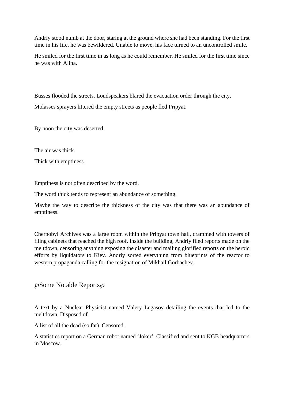Andriy stood numb at the door, staring at the ground where she had been standing. For the first time in his life, he was bewildered. Unable to move, his face turned to an uncontrolled smile.

He smiled for the first time in as long as he could remember. He smiled for the first time since he was with Alina.

Busses flooded the streets. Loudspeakers blared the evacuation order through the city. Molasses sprayers littered the empty streets as people fled Pripyat.

By noon the city was deserted.

The air was thick.

Thick with emptiness.

Emptiness is not often described by the word.

The word thick tends to represent an abundance of something.

Maybe the way to describe the thickness of the city was that there was an abundance of emptiness.

Chernobyl Archives was a large room within the Pripyat town hall, crammed with towers of filing cabinets that reached the high roof. Inside the building, Andriy filed reports made on the meltdown, censoring anything exposing the disaster and mailing glorified reports on the heroic efforts by liquidators to Kiev. Andriy sorted everything from blueprints of the reactor to western propaganda calling for the resignation of Mikhail Gorbachev.

℘Some Notable Reports℘

A text by a Nuclear Physicist named Valery Legasov detailing the events that led to the meltdown. Disposed of.

A list of all the dead (so far). Censored.

A statistics report on a German robot named 'Joker'. Classified and sent to KGB headquarters in Moscow.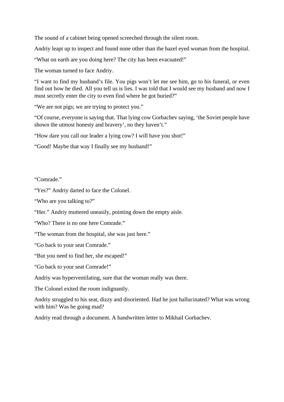The sound of a cabinet being opened screeched through the silent room.

Andriy leapt up to inspect and found none other than the hazel eyed woman from the hospital.

"What on earth are you doing here? The city has been evacuated!"

The woman turned to face Andriy.

"I want to find my husband's file. You pigs won't let me see him, go to his funeral, or even find out how he died. All you tell us is lies. I was told that I would see my husband and now I must secretly enter the city to even find where he got buried?"

"We are not pigs; we are trying to protect you."

"Of course, everyone is saying that. That lying cow Gorbachev saying, 'the Soviet people have shown the utmost honesty and bravery', no they haven't."

"How dare you call our leader a lying cow? I will have you shot!"

"Good! Maybe that way I finally see my husband!"

"Comrade."

"Yes?" Andriy darted to face the Colonel.

"Who are you talking to?"

"Her." Andriy muttered uneasily, pointing down the empty aisle.

"Who? There is no one here Comrade."

"The woman from the hospital, she was just here."

"Go back to your seat Comrade."

"But you need to find her, she escaped!"

"Go back to your seat Comrade!"

Andriy was hyperventilating, sure that the woman really was there.

The Colonel exited the room indignantly.

Andriy struggled to his seat, dizzy and disoriented. Had he just hallucinated? What was wrong with him? Was he going mad?

Andriy read through a document. A handwritten letter to Mikhail Gorbachev.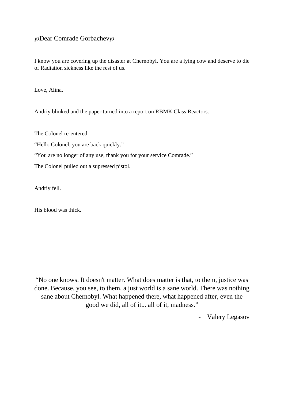## ℘Dear Comrade Gorbachev℘

I know you are covering up the disaster at Chernobyl. You are a lying cow and deserve to die of Radiation sickness like the rest of us.

Love, Alina.

Andriy blinked and the paper turned into a report on RBMK Class Reactors.

The Colonel re-entered.

"Hello Colonel, you are back quickly."

"You are no longer of any use, thank you for your service Comrade."

The Colonel pulled out a supressed pistol.

Andriy fell.

His blood was thick.

"No one knows. It doesn't matter. What does matter is that, to them, justice was done. Because, you see, to them, a just world is a sane world. There was nothing sane about Chernobyl. What happened there, what happened after, even the good we did, all of it... all of it, madness."

- Valery Legasov